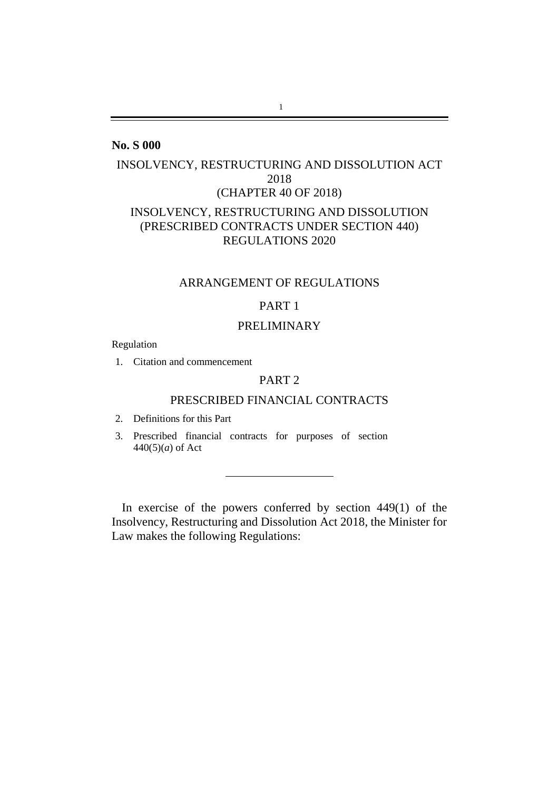## <span id="page-0-0"></span>**No. S 000**

# INSOLVENCY, RESTRUCTURING AND DISSOLUTION ACT 2018 (CHAPTER 40 OF 2018) INSOLVENCY, RESTRUCTURING AND DISSOLUTION (PRESCRIBED CONTRACTS UNDER SECTION 440) REGULATIONS 2020

### ARRANGEMENT OF REGULATIONS

# [PART 1](#page-0-0)

### [PRELIMINARY](#page-0-0)

Regulation

1. [Citation and commencement](#page-0-0)

### [PART 2](#page-1-0)

### [PRESCRIBED FINANCIAL](#page-1-1) CONTRACTS

- 2. [Definitions for this Part](#page-1-2)
- 3. [Prescribed financial contracts for purposes of section](#page-3-0)  440(5)(*a*[\) of Act](#page-3-0)

In exercise of the powers conferred by section 449(1) of the Insolvency, Restructuring and Dissolution Act 2018, the Minister for Law makes the following Regulations: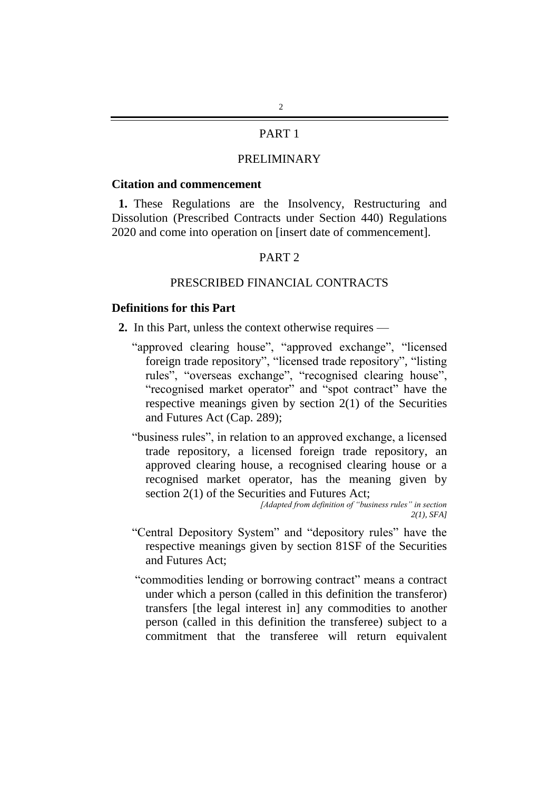## PART 1

# PRELIMINARY

#### **Citation and commencement**

<span id="page-1-0"></span>**1.** These Regulations are the Insolvency, Restructuring and Dissolution (Prescribed Contracts under Section 440) Regulations 2020 and come into operation on [insert date of commencement].

### PART 2

### PRESCRIBED FINANCIAL CONTRACTS

### <span id="page-1-2"></span><span id="page-1-1"></span>**Definitions for this Part**

- **2.** In this Part, unless the context otherwise requires
	- "approved clearing house", "approved exchange", "licensed foreign trade repository", "licensed trade repository", "listing rules", "overseas exchange", "recognised clearing house", "recognised market operator" and "spot contract" have the respective meanings given by section 2(1) of the Securities and Futures Act (Cap. 289);
	- "business rules", in relation to an approved exchange, a licensed trade repository, a licensed foreign trade repository, an approved clearing house, a recognised clearing house or a recognised market operator, has the meaning given by section 2(1) of the Securities and Futures Act;

*[Adapted from definition of "business rules" in section 2(1), SFA]*

- "Central Depository System" and "depository rules" have the respective meanings given by section 81SF of the Securities and Futures Act;
- "commodities lending or borrowing contract" means a contract under which a person (called in this definition the transferor) transfers [the legal interest in] any commodities to another person (called in this definition the transferee) subject to a commitment that the transferee will return equivalent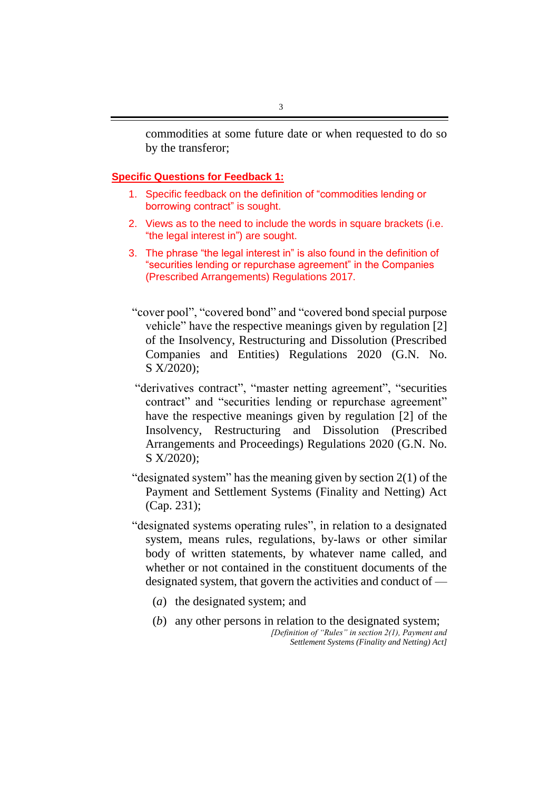commodities at some future date or when requested to do so by the transferor;

### **Specific Questions for Feedback 1:**

- 1. Specific feedback on the definition of "commodities lending or borrowing contract" is sought.
- 2. Views as to the need to include the words in square brackets (i.e. "the legal interest in") are sought.
- 3. The phrase "the legal interest in" is also found in the definition of "securities lending or repurchase agreement" in the Companies (Prescribed Arrangements) Regulations 2017.
- "cover pool", "covered bond" and "covered bond special purpose vehicle" have the respective meanings given by regulation [2] of the Insolvency, Restructuring and Dissolution (Prescribed Companies and Entities) Regulations 2020 (G.N. No. S X/2020);
- "derivatives contract", "master netting agreement", "securities contract" and "securities lending or repurchase agreement" have the respective meanings given by regulation [2] of the Insolvency, Restructuring and Dissolution (Prescribed Arrangements and Proceedings) Regulations 2020 (G.N. No. S X/2020);
- "designated system" has the meaning given by section 2(1) of the Payment and Settlement Systems (Finality and Netting) Act (Cap. 231);
- "designated systems operating rules", in relation to a designated system, means rules, regulations, by-laws or other similar body of written statements, by whatever name called, and whether or not contained in the constituent documents of the designated system, that govern the activities and conduct of —
	- (*a*) the designated system; and
	- (*b*) any other persons in relation to the designated system; *[Definition of "Rules" in section 2(1), Payment and Settlement Systems (Finality and Netting) Act]*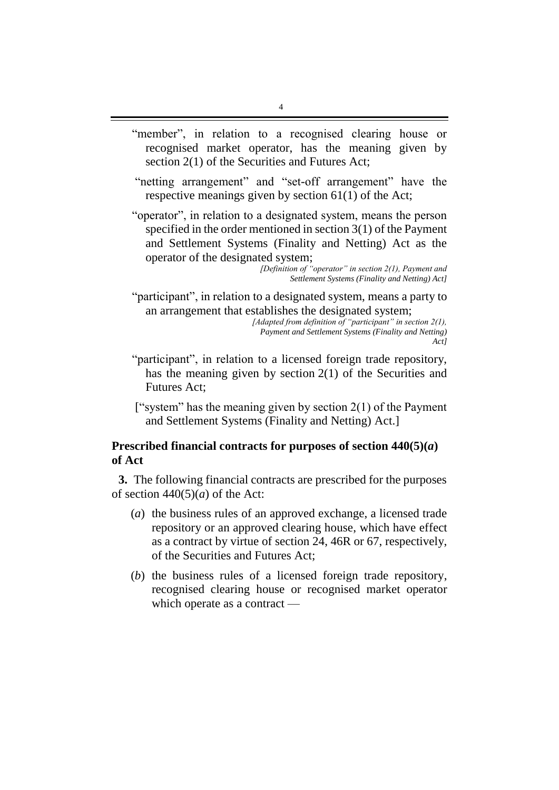- "member", in relation to a recognised clearing house or recognised market operator, has the meaning given by section 2(1) of the Securities and Futures Act;
- "netting arrangement" and "set-off arrangement" have the respective meanings given by section 61(1) of the Act;
- "operator", in relation to a designated system, means the person specified in the order mentioned in section 3(1) of the Payment and Settlement Systems (Finality and Netting) Act as the operator of the designated system;

*[Definition of "operator" in section 2(1), Payment and Settlement Systems (Finality and Netting) Act]*

"participant", in relation to a designated system, means a party to an arrangement that establishes the designated system;

*[Adapted from definition of "participant" in section 2(1), Payment and Settlement Systems (Finality and Netting) Act]*

- "participant", in relation to a licensed foreign trade repository, has the meaning given by section 2(1) of the Securities and Futures Act;
- ["system" has the meaning given by section  $2(1)$  of the Payment and Settlement Systems (Finality and Netting) Act.]

## <span id="page-3-0"></span>**Prescribed financial contracts for purposes of section 440(5)(***a***) of Act**

**3.** The following financial contracts are prescribed for the purposes of section  $440(5)(a)$  of the Act:

- (*a*) the business rules of an approved exchange, a licensed trade repository or an approved clearing house, which have effect as a contract by virtue of section 24, 46R or 67, respectively, of the Securities and Futures Act;
- (*b*) the business rules of a licensed foreign trade repository, recognised clearing house or recognised market operator which operate as a contract —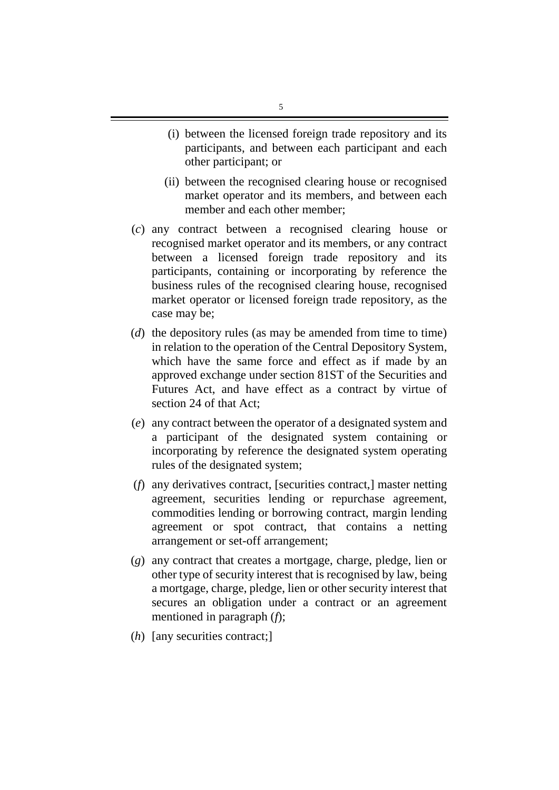- (i) between the licensed foreign trade repository and its participants, and between each participant and each other participant; or
- (ii) between the recognised clearing house or recognised market operator and its members, and between each member and each other member;
- (*c*) any contract between a recognised clearing house or recognised market operator and its members, or any contract between a licensed foreign trade repository and its participants, containing or incorporating by reference the business rules of the recognised clearing house, recognised market operator or licensed foreign trade repository, as the case may be;
- (*d*) the depository rules (as may be amended from time to time) in relation to the operation of the Central Depository System, which have the same force and effect as if made by an approved exchange under section 81ST of the Securities and Futures Act, and have effect as a contract by virtue of section 24 of that Act;
- (*e*) any contract between the operator of a designated system and a participant of the designated system containing or incorporating by reference the designated system operating rules of the designated system;
- (*f*) any derivatives contract, [securities contract,] master netting agreement, securities lending or repurchase agreement, commodities lending or borrowing contract, margin lending agreement or spot contract, that contains a netting arrangement or set-off arrangement;
- (*g*) any contract that creates a mortgage, charge, pledge, lien or other type of security interest that is recognised by law, being a mortgage, charge, pledge, lien or other security interest that secures an obligation under a contract or an agreement mentioned in paragraph (*f*);
- (*h*) [any securities contract;]